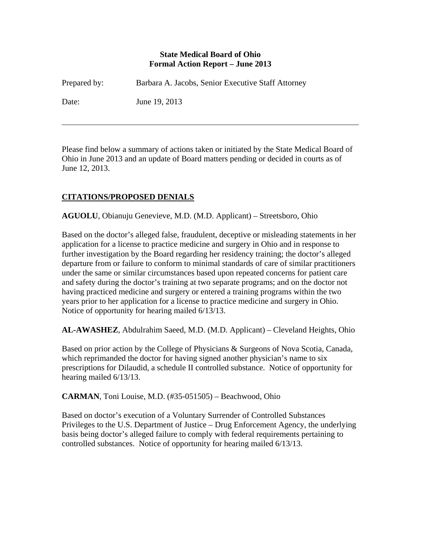### **State Medical Board of Ohio Formal Action Report – June 2013**

| Prepared by: | Barbara A. Jacobs, Senior Executive Staff Attorney |
|--------------|----------------------------------------------------|
| Date:        | June 19, 2013                                      |

Please find below a summary of actions taken or initiated by the State Medical Board of Ohio in June 2013 and an update of Board matters pending or decided in courts as of June 12, 2013.

# **CITATIONS/PROPOSED DENIALS**

 $\overline{a}$ 

**AGUOLU**, Obianuju Genevieve, M.D. (M.D. Applicant) – Streetsboro, Ohio

Based on the doctor's alleged false, fraudulent, deceptive or misleading statements in her application for a license to practice medicine and surgery in Ohio and in response to further investigation by the Board regarding her residency training; the doctor's alleged departure from or failure to conform to minimal standards of care of similar practitioners under the same or similar circumstances based upon repeated concerns for patient care and safety during the doctor's training at two separate programs; and on the doctor not having practiced medicine and surgery or entered a training programs within the two years prior to her application for a license to practice medicine and surgery in Ohio. Notice of opportunity for hearing mailed 6/13/13.

**AL-AWASHEZ**, Abdulrahim Saeed, M.D. (M.D. Applicant) – Cleveland Heights, Ohio

Based on prior action by the College of Physicians & Surgeons of Nova Scotia, Canada, which reprimanded the doctor for having signed another physician's name to six prescriptions for Dilaudid, a schedule II controlled substance. Notice of opportunity for hearing mailed 6/13/13.

**CARMAN**, Toni Louise, M.D. (#35-051505) – Beachwood, Ohio

Based on doctor's execution of a Voluntary Surrender of Controlled Substances Privileges to the U.S. Department of Justice – Drug Enforcement Agency, the underlying basis being doctor's alleged failure to comply with federal requirements pertaining to controlled substances. Notice of opportunity for hearing mailed 6/13/13.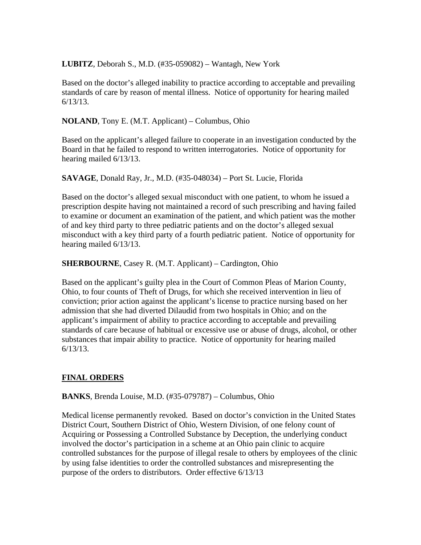**LUBITZ**, Deborah S., M.D. (#35-059082) – Wantagh, New York

Based on the doctor's alleged inability to practice according to acceptable and prevailing standards of care by reason of mental illness. Notice of opportunity for hearing mailed 6/13/13.

**NOLAND**, Tony E. (M.T. Applicant) – Columbus, Ohio

Based on the applicant's alleged failure to cooperate in an investigation conducted by the Board in that he failed to respond to written interrogatories. Notice of opportunity for hearing mailed 6/13/13.

**SAVAGE**, Donald Ray, Jr., M.D. (#35-048034) – Port St. Lucie, Florida

Based on the doctor's alleged sexual misconduct with one patient, to whom he issued a prescription despite having not maintained a record of such prescribing and having failed to examine or document an examination of the patient, and which patient was the mother of and key third party to three pediatric patients and on the doctor's alleged sexual misconduct with a key third party of a fourth pediatric patient. Notice of opportunity for hearing mailed 6/13/13.

**SHERBOURNE**, Casey R. (M.T. Applicant) – Cardington, Ohio

Based on the applicant's guilty plea in the Court of Common Pleas of Marion County, Ohio, to four counts of Theft of Drugs, for which she received intervention in lieu of conviction; prior action against the applicant's license to practice nursing based on her admission that she had diverted Dilaudid from two hospitals in Ohio; and on the applicant's impairment of ability to practice according to acceptable and prevailing standards of care because of habitual or excessive use or abuse of drugs, alcohol, or other substances that impair ability to practice. Notice of opportunity for hearing mailed 6/13/13.

### **FINAL ORDERS**

**BANKS**, Brenda Louise, M.D. (#35-079787) – Columbus, Ohio

Medical license permanently revoked. Based on doctor's conviction in the United States District Court, Southern District of Ohio, Western Division, of one felony count of Acquiring or Possessing a Controlled Substance by Deception, the underlying conduct involved the doctor's participation in a scheme at an Ohio pain clinic to acquire controlled substances for the purpose of illegal resale to others by employees of the clinic by using false identities to order the controlled substances and misrepresenting the purpose of the orders to distributors. Order effective 6/13/13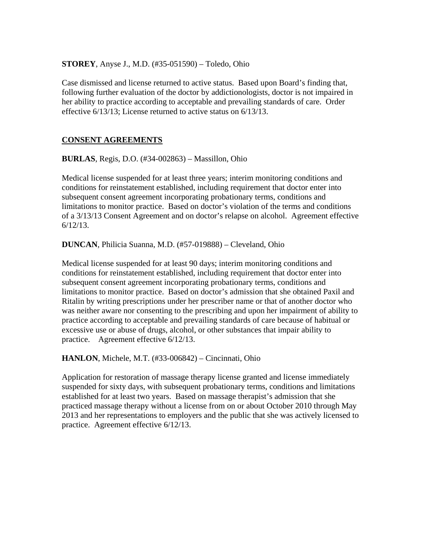**STOREY**, Anyse J., M.D. (#35-051590) – Toledo, Ohio

Case dismissed and license returned to active status. Based upon Board's finding that, following further evaluation of the doctor by addictionologists, doctor is not impaired in her ability to practice according to acceptable and prevailing standards of care. Order effective 6/13/13; License returned to active status on 6/13/13.

## **CONSENT AGREEMENTS**

**BURLAS**, Regis, D.O. (#34-002863) – Massillon, Ohio

Medical license suspended for at least three years; interim monitoring conditions and conditions for reinstatement established, including requirement that doctor enter into subsequent consent agreement incorporating probationary terms, conditions and limitations to monitor practice. Based on doctor's violation of the terms and conditions of a 3/13/13 Consent Agreement and on doctor's relapse on alcohol. Agreement effective 6/12/13.

**DUNCAN**, Philicia Suanna, M.D. (#57-019888) – Cleveland, Ohio

Medical license suspended for at least 90 days; interim monitoring conditions and conditions for reinstatement established, including requirement that doctor enter into subsequent consent agreement incorporating probationary terms, conditions and limitations to monitor practice. Based on doctor's admission that she obtained Paxil and Ritalin by writing prescriptions under her prescriber name or that of another doctor who was neither aware nor consenting to the prescribing and upon her impairment of ability to practice according to acceptable and prevailing standards of care because of habitual or excessive use or abuse of drugs, alcohol, or other substances that impair ability to practice. Agreement effective 6/12/13.

**HANLON**, Michele, M.T. (#33-006842) – Cincinnati, Ohio

Application for restoration of massage therapy license granted and license immediately suspended for sixty days, with subsequent probationary terms, conditions and limitations established for at least two years. Based on massage therapist's admission that she practiced massage therapy without a license from on or about October 2010 through May 2013 and her representations to employers and the public that she was actively licensed to practice. Agreement effective 6/12/13.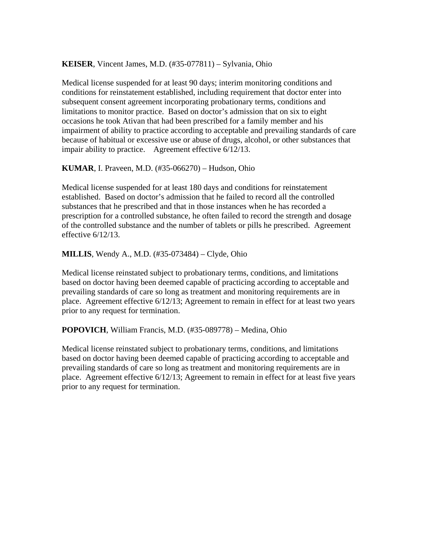#### **KEISER**, Vincent James, M.D. (#35-077811) – Sylvania, Ohio

Medical license suspended for at least 90 days; interim monitoring conditions and conditions for reinstatement established, including requirement that doctor enter into subsequent consent agreement incorporating probationary terms, conditions and limitations to monitor practice. Based on doctor's admission that on six to eight occasions he took Ativan that had been prescribed for a family member and his impairment of ability to practice according to acceptable and prevailing standards of care because of habitual or excessive use or abuse of drugs, alcohol, or other substances that impair ability to practice. Agreement effective 6/12/13.

### **KUMAR**, I. Praveen, M.D. (#35-066270) – Hudson, Ohio

Medical license suspended for at least 180 days and conditions for reinstatement established. Based on doctor's admission that he failed to record all the controlled substances that he prescribed and that in those instances when he has recorded a prescription for a controlled substance, he often failed to record the strength and dosage of the controlled substance and the number of tablets or pills he prescribed. Agreement effective 6/12/13.

**MILLIS**, Wendy A., M.D. (#35-073484) – Clyde, Ohio

Medical license reinstated subject to probationary terms, conditions, and limitations based on doctor having been deemed capable of practicing according to acceptable and prevailing standards of care so long as treatment and monitoring requirements are in place. Agreement effective 6/12/13; Agreement to remain in effect for at least two years prior to any request for termination.

**POPOVICH**, William Francis, M.D. (#35-089778) – Medina, Ohio

Medical license reinstated subject to probationary terms, conditions, and limitations based on doctor having been deemed capable of practicing according to acceptable and prevailing standards of care so long as treatment and monitoring requirements are in place. Agreement effective 6/12/13; Agreement to remain in effect for at least five years prior to any request for termination.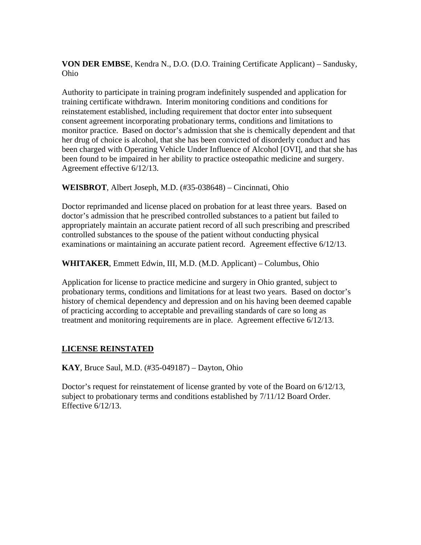**VON DER EMBSE**, Kendra N., D.O. (D.O. Training Certificate Applicant) – Sandusky, Ohio

Authority to participate in training program indefinitely suspended and application for training certificate withdrawn. Interim monitoring conditions and conditions for reinstatement established, including requirement that doctor enter into subsequent consent agreement incorporating probationary terms, conditions and limitations to monitor practice. Based on doctor's admission that she is chemically dependent and that her drug of choice is alcohol, that she has been convicted of disorderly conduct and has been charged with Operating Vehicle Under Influence of Alcohol [OVI], and that she has been found to be impaired in her ability to practice osteopathic medicine and surgery. Agreement effective 6/12/13.

**WEISBROT**, Albert Joseph, M.D. (#35-038648) – Cincinnati, Ohio

Doctor reprimanded and license placed on probation for at least three years. Based on doctor's admission that he prescribed controlled substances to a patient but failed to appropriately maintain an accurate patient record of all such prescribing and prescribed controlled substances to the spouse of the patient without conducting physical examinations or maintaining an accurate patient record. Agreement effective 6/12/13.

**WHITAKER**, Emmett Edwin, III, M.D. (M.D. Applicant) – Columbus, Ohio

Application for license to practice medicine and surgery in Ohio granted, subject to probationary terms, conditions and limitations for at least two years. Based on doctor's history of chemical dependency and depression and on his having been deemed capable of practicing according to acceptable and prevailing standards of care so long as treatment and monitoring requirements are in place. Agreement effective 6/12/13.

### **LICENSE REINSTATED**

**KAY**, Bruce Saul, M.D. (#35-049187) – Dayton, Ohio

Doctor's request for reinstatement of license granted by vote of the Board on 6/12/13, subject to probationary terms and conditions established by 7/11/12 Board Order. Effective 6/12/13.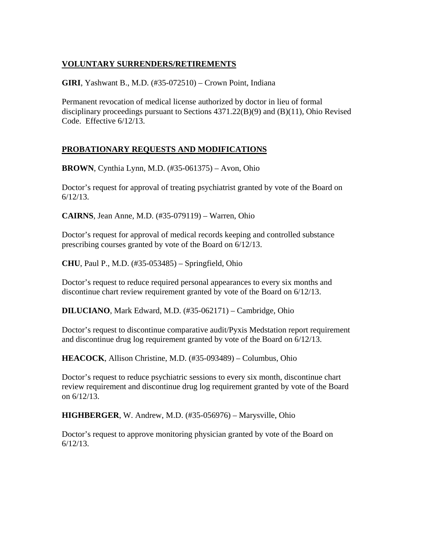# **VOLUNTARY SURRENDERS/RETIREMENTS**

**GIRI**, Yashwant B., M.D. (#35-072510) – Crown Point, Indiana

Permanent revocation of medical license authorized by doctor in lieu of formal disciplinary proceedings pursuant to Sections 4371.22(B)(9) and (B)(11), Ohio Revised Code. Effective 6/12/13.

# **PROBATIONARY REQUESTS AND MODIFICATIONS**

**BROWN**, Cynthia Lynn, M.D. (#35-061375) – Avon, Ohio

Doctor's request for approval of treating psychiatrist granted by vote of the Board on 6/12/13.

**CAIRNS**, Jean Anne, M.D. (#35-079119) – Warren, Ohio

Doctor's request for approval of medical records keeping and controlled substance prescribing courses granted by vote of the Board on 6/12/13.

**CHU**, Paul P., M.D. (#35-053485) – Springfield, Ohio

Doctor's request to reduce required personal appearances to every six months and discontinue chart review requirement granted by vote of the Board on 6/12/13.

**DILUCIANO**, Mark Edward, M.D. (#35-062171) – Cambridge, Ohio

Doctor's request to discontinue comparative audit/Pyxis Medstation report requirement and discontinue drug log requirement granted by vote of the Board on 6/12/13.

**HEACOCK**, Allison Christine, M.D. (#35-093489) – Columbus, Ohio

Doctor's request to reduce psychiatric sessions to every six month, discontinue chart review requirement and discontinue drug log requirement granted by vote of the Board on 6/12/13.

**HIGHBERGER**, W. Andrew, M.D. (#35-056976) – Marysville, Ohio

Doctor's request to approve monitoring physician granted by vote of the Board on 6/12/13.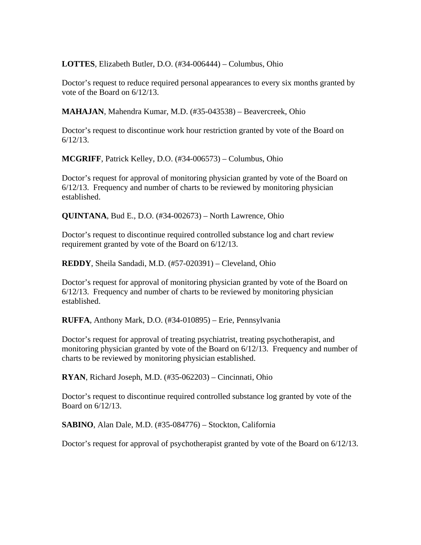**LOTTES**, Elizabeth Butler, D.O. (#34-006444) – Columbus, Ohio

Doctor's request to reduce required personal appearances to every six months granted by vote of the Board on 6/12/13.

**MAHAJAN**, Mahendra Kumar, M.D. (#35-043538) – Beavercreek, Ohio

Doctor's request to discontinue work hour restriction granted by vote of the Board on 6/12/13.

**MCGRIFF**, Patrick Kelley, D.O. (#34-006573) – Columbus, Ohio

Doctor's request for approval of monitoring physician granted by vote of the Board on 6/12/13. Frequency and number of charts to be reviewed by monitoring physician established.

**QUINTANA**, Bud E., D.O. (#34-002673) – North Lawrence, Ohio

Doctor's request to discontinue required controlled substance log and chart review requirement granted by vote of the Board on 6/12/13.

**REDDY**, Sheila Sandadi, M.D. (#57-020391) – Cleveland, Ohio

Doctor's request for approval of monitoring physician granted by vote of the Board on 6/12/13. Frequency and number of charts to be reviewed by monitoring physician established.

**RUFFA**, Anthony Mark, D.O. (#34-010895) – Erie, Pennsylvania

Doctor's request for approval of treating psychiatrist, treating psychotherapist, and monitoring physician granted by vote of the Board on 6/12/13. Frequency and number of charts to be reviewed by monitoring physician established.

**RYAN**, Richard Joseph, M.D. (#35-062203) – Cincinnati, Ohio

Doctor's request to discontinue required controlled substance log granted by vote of the Board on 6/12/13.

**SABINO**, Alan Dale, M.D. (#35-084776) – Stockton, California

Doctor's request for approval of psychotherapist granted by vote of the Board on 6/12/13.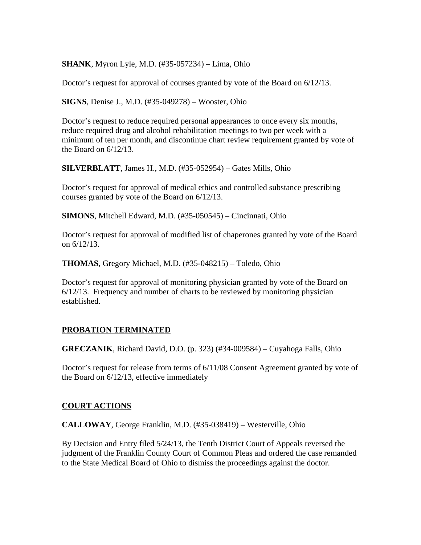**SHANK**, Myron Lyle, M.D. (#35-057234) – Lima, Ohio

Doctor's request for approval of courses granted by vote of the Board on 6/12/13.

**SIGNS**, Denise J., M.D. (#35-049278) – Wooster, Ohio

Doctor's request to reduce required personal appearances to once every six months, reduce required drug and alcohol rehabilitation meetings to two per week with a minimum of ten per month, and discontinue chart review requirement granted by vote of the Board on 6/12/13.

**SILVERBLATT**, James H., M.D. (#35-052954) – Gates Mills, Ohio

Doctor's request for approval of medical ethics and controlled substance prescribing courses granted by vote of the Board on 6/12/13.

**SIMONS**, Mitchell Edward, M.D. (#35-050545) – Cincinnati, Ohio

Doctor's request for approval of modified list of chaperones granted by vote of the Board on 6/12/13.

**THOMAS**, Gregory Michael, M.D. (#35-048215) – Toledo, Ohio

Doctor's request for approval of monitoring physician granted by vote of the Board on  $6/12/13$ . Frequency and number of charts to be reviewed by monitoring physician established.

#### **PROBATION TERMINATED**

**GRECZANIK**, Richard David, D.O. (p. 323) (#34-009584) – Cuyahoga Falls, Ohio

Doctor's request for release from terms of 6/11/08 Consent Agreement granted by vote of the Board on 6/12/13, effective immediately

#### **COURT ACTIONS**

**CALLOWAY**, George Franklin, M.D. (#35-038419) – Westerville, Ohio

By Decision and Entry filed 5/24/13, the Tenth District Court of Appeals reversed the judgment of the Franklin County Court of Common Pleas and ordered the case remanded to the State Medical Board of Ohio to dismiss the proceedings against the doctor.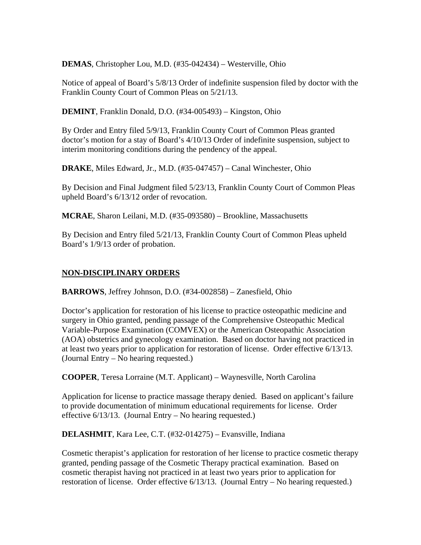**DEMAS**, Christopher Lou, M.D. (#35-042434) – Westerville, Ohio

Notice of appeal of Board's 5/8/13 Order of indefinite suspension filed by doctor with the Franklin County Court of Common Pleas on 5/21/13.

**DEMINT**, Franklin Donald, D.O. (#34-005493) – Kingston, Ohio

By Order and Entry filed 5/9/13, Franklin County Court of Common Pleas granted doctor's motion for a stay of Board's 4/10/13 Order of indefinite suspension, subject to interim monitoring conditions during the pendency of the appeal.

**DRAKE**, Miles Edward, Jr., M.D. (#35-047457) – Canal Winchester, Ohio

By Decision and Final Judgment filed 5/23/13, Franklin County Court of Common Pleas upheld Board's 6/13/12 order of revocation.

**MCRAE**, Sharon Leilani, M.D. (#35-093580) – Brookline, Massachusetts

By Decision and Entry filed 5/21/13, Franklin County Court of Common Pleas upheld Board's 1/9/13 order of probation.

## **NON-DISCIPLINARY ORDERS**

**BARROWS**, Jeffrey Johnson, D.O. (#34-002858) – Zanesfield, Ohio

Doctor's application for restoration of his license to practice osteopathic medicine and surgery in Ohio granted, pending passage of the Comprehensive Osteopathic Medical Variable-Purpose Examination (COMVEX) or the American Osteopathic Association (AOA) obstetrics and gynecology examination. Based on doctor having not practiced in at least two years prior to application for restoration of license. Order effective 6/13/13. (Journal Entry – No hearing requested.)

**COOPER**, Teresa Lorraine (M.T. Applicant) – Waynesville, North Carolina

Application for license to practice massage therapy denied. Based on applicant's failure to provide documentation of minimum educational requirements for license. Order effective 6/13/13. (Journal Entry – No hearing requested.)

**DELASHMIT**, Kara Lee, C.T. (#32-014275) – Evansville, Indiana

Cosmetic therapist's application for restoration of her license to practice cosmetic therapy granted, pending passage of the Cosmetic Therapy practical examination. Based on cosmetic therapist having not practiced in at least two years prior to application for restoration of license. Order effective 6/13/13. (Journal Entry – No hearing requested.)